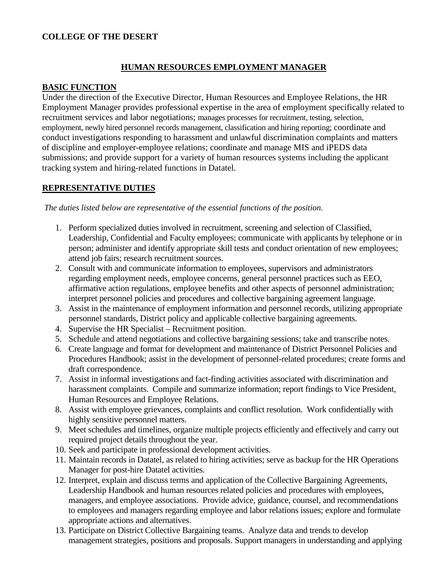### **COLLEGE OF THE DESERT**

## **HUMAN RESOURCES EMPLOYMENT MANAGER**

#### **BASIC FUNCTION**

Under the direction of the Executive Director, Human Resources and Employee Relations, the HR Employment Manager provides professional expertise in the area of employment specifically related to recruitment services and labor negotiations; manages processes for recruitment, testing, selection, employment, newly hired personnel records management, classification and hiring reporting; coordinate and conduct investigations responding to harassment and unlawful discrimination complaints and matters of discipline and employer-employee relations; coordinate and manage MIS and iPEDS data submissions; and provide support for a variety of human resources systems including the applicant tracking system and hiring-related functions in Datatel.

### **REPRESENTATIVE DUTIES**

*The duties listed below are representative of the essential functions of the position.*

- 1. Perform specialized duties involved in recruitment, screening and selection of Classified, Leadership, Confidential and Faculty employees; communicate with applicants by telephone or in person; administer and identify appropriate skill tests and conduct orientation of new employees; attend job fairs; research recruitment sources.
- 2. Consult with and communicate information to employees, supervisors and administrators regarding employment needs, employee concerns, general personnel practices such as EEO, affirmative action regulations, employee benefits and other aspects of personnel administration; interpret personnel policies and procedures and collective bargaining agreement language.
- 3. Assist in the maintenance of employment information and personnel records, utilizing appropriate personnel standards, District policy and applicable collective bargaining agreements.
- 4. Supervise the HR Specialist Recruitment position.
- 5. Schedule and attend negotiations and collective bargaining sessions; take and transcribe notes.
- 6. Create language and format for development and maintenance of District Personnel Policies and Procedures Handbook; assist in the development of personnel-related procedures; create forms and draft correspondence.
- 7. Assist in informal investigations and fact-finding activities associated with discrimination and harassment complaints. Compile and summarize information; report findings to Vice President, Human Resources and Employee Relations.
- 8. Assist with employee grievances, complaints and conflict resolution. Work confidentially with highly sensitive personnel matters.
- 9. Meet schedules and timelines, organize multiple projects efficiently and effectively and carry out required project details throughout the year.
- 10. Seek and participate in professional development activities.
- 11. Maintain records in Datatel, as related to hiring activities; serve as backup for the HR Operations Manager for post-hire Datatel activities.
- 12. Interpret, explain and discuss terms and application of the Collective Bargaining Agreements, Leadership Handbook and human resources related policies and procedures with employees, managers, and employee associations. Provide advice, guidance, counsel, and recommendations to employees and managers regarding employee and labor relations issues; explore and formulate appropriate actions and alternatives.
- 13. Participate on District Collective Bargaining teams. Analyze data and trends to develop management strategies, positions and proposals. Support managers in understanding and applying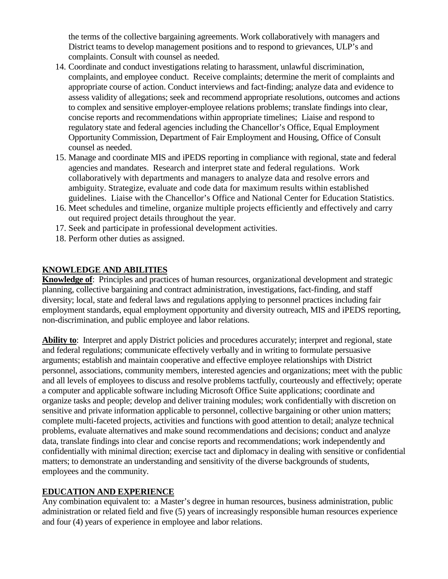the terms of the collective bargaining agreements. Work collaboratively with managers and District teams to develop management positions and to respond to grievances, ULP's and complaints. Consult with counsel as needed.

- 14. Coordinate and conduct investigations relating to harassment, unlawful discrimination, complaints, and employee conduct. Receive complaints; determine the merit of complaints and appropriate course of action. Conduct interviews and fact-finding; analyze data and evidence to assess validity of allegations; seek and recommend appropriate resolutions, outcomes and actions to complex and sensitive employer-employee relations problems; translate findings into clear, concise reports and recommendations within appropriate timelines; Liaise and respond to regulatory state and federal agencies including the Chancellor's Office, Equal Employment Opportunity Commission, Department of Fair Employment and Housing, Office of Consult counsel as needed.
- 15. Manage and coordinate MIS and iPEDS reporting in compliance with regional, state and federal agencies and mandates. Research and interpret state and federal regulations. Work collaboratively with departments and managers to analyze data and resolve errors and ambiguity. Strategize, evaluate and code data for maximum results within established guidelines. Liaise with the Chancellor's Office and National Center for Education Statistics.
- 16. Meet schedules and timeline, organize multiple projects efficiently and effectively and carry out required project details throughout the year.
- 17. Seek and participate in professional development activities.
- 18. Perform other duties as assigned.

### **KNOWLEDGE AND ABILITIES**

**Knowledge of**: Principles and practices of human resources, organizational development and strategic planning, collective bargaining and contract administration, investigations, fact-finding, and staff diversity; local, state and federal laws and regulations applying to personnel practices including fair employment standards, equal employment opportunity and diversity outreach, MIS and iPEDS reporting, non-discrimination, and public employee and labor relations.

**Ability to**: Interpret and apply District policies and procedures accurately; interpret and regional, state and federal regulations; communicate effectively verbally and in writing to formulate persuasive arguments; establish and maintain cooperative and effective employee relationships with District personnel, associations, community members, interested agencies and organizations; meet with the public and all levels of employees to discuss and resolve problems tactfully, courteously and effectively; operate a computer and applicable software including Microsoft Office Suite applications; coordinate and organize tasks and people; develop and deliver training modules; work confidentially with discretion on sensitive and private information applicable to personnel, collective bargaining or other union matters; complete multi-faceted projects, activities and functions with good attention to detail; analyze technical problems, evaluate alternatives and make sound recommendations and decisions; conduct and analyze data, translate findings into clear and concise reports and recommendations; work independently and confidentially with minimal direction; exercise tact and diplomacy in dealing with sensitive or confidential matters; to demonstrate an understanding and sensitivity of the diverse backgrounds of students, employees and the community.

### **EDUCATION AND EXPERIENCE**

Any combination equivalent to: a Master's degree in human resources, business administration, public administration or related field and five (5) years of increasingly responsible human resources experience and four (4) years of experience in employee and labor relations.